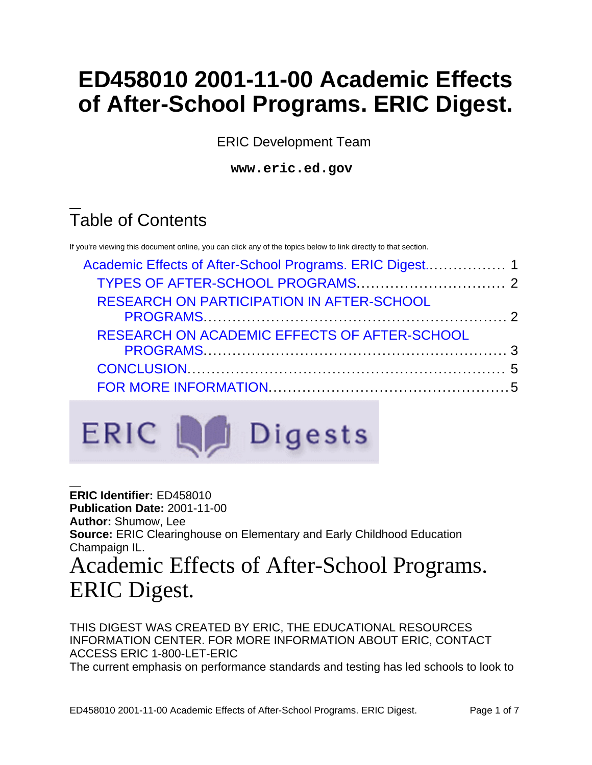# **ED458010 2001-11-00 Academic Effects of After-School Programs. ERIC Digest.**

ERIC Development Team

**www.eric.ed.gov**

## Table of Contents

If you're viewing this document online, you can click any of the topics below to link directly to that section.

| <b>RESEARCH ON PARTICIPATION IN AFTER-SCHOOL</b><br>RESEARCH ON ACADEMIC EFFECTS OF AFTER-SCHOOL |  |
|--------------------------------------------------------------------------------------------------|--|
|                                                                                                  |  |
|                                                                                                  |  |
|                                                                                                  |  |



**ERIC Identifier:** ED458010 **Publication Date:** 2001-11-00 **Author:** Shumow, Lee **Source:** ERIC Clearinghouse on Elementary and Early Childhood Education Champaign IL.

<span id="page-0-0"></span>Academic Effects of After-School Programs. ERIC Digest.

THIS DIGEST WAS CREATED BY ERIC, THE EDUCATIONAL RESOURCES INFORMATION CENTER. FOR MORE INFORMATION ABOUT ERIC, CONTACT ACCESS ERIC 1-800-LET-ERIC The current emphasis on performance standards and testing has led schools to look to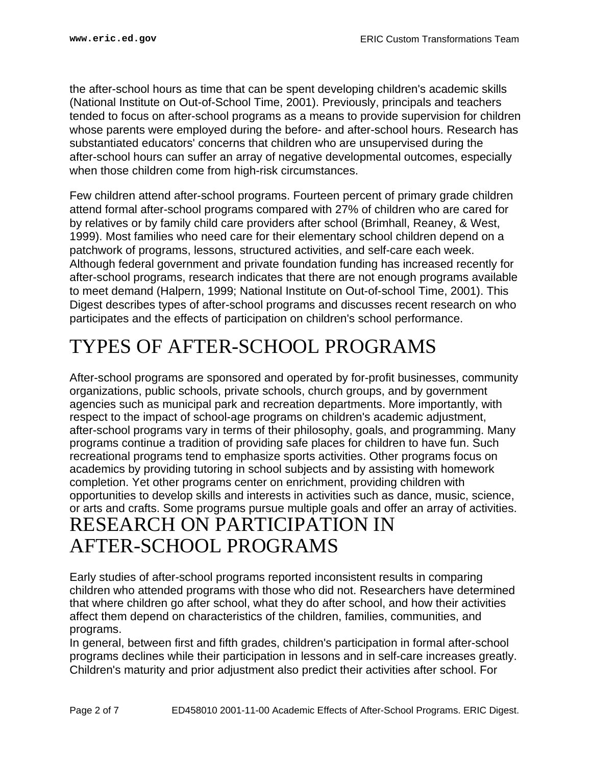the after-school hours as time that can be spent developing children's academic skills (National Institute on Out-of-School Time, 2001). Previously, principals and teachers tended to focus on after-school programs as a means to provide supervision for children whose parents were employed during the before- and after-school hours. Research has substantiated educators' concerns that children who are unsupervised during the after-school hours can suffer an array of negative developmental outcomes, especially when those children come from high-risk circumstances.

Few children attend after-school programs. Fourteen percent of primary grade children attend formal after-school programs compared with 27% of children who are cared for by relatives or by family child care providers after school (Brimhall, Reaney, & West, 1999). Most families who need care for their elementary school children depend on a patchwork of programs, lessons, structured activities, and self-care each week. Although federal government and private foundation funding has increased recently for after-school programs, research indicates that there are not enough programs available to meet demand (Halpern, 1999; National Institute on Out-of-school Time, 2001). This Digest describes types of after-school programs and discusses recent research on who participates and the effects of participation on children's school performance.

### <span id="page-1-0"></span>TYPES OF AFTER-SCHOOL PROGRAMS

After-school programs are sponsored and operated by for-profit businesses, community organizations, public schools, private schools, church groups, and by government agencies such as municipal park and recreation departments. More importantly, with respect to the impact of school-age programs on children's academic adjustment, after-school programs vary in terms of their philosophy, goals, and programming. Many programs continue a tradition of providing safe places for children to have fun. Such recreational programs tend to emphasize sports activities. Other programs focus on academics by providing tutoring in school subjects and by assisting with homework completion. Yet other programs center on enrichment, providing children with opportunities to develop skills and interests in activities such as dance, music, science, or arts and crafts. Some programs pursue multiple goals and offer an array of activities. RESEARCH ON PARTICIPATION IN AFTER-SCHOOL PROGRAMS

<span id="page-1-1"></span>Early studies of after-school programs reported inconsistent results in comparing children who attended programs with those who did not. Researchers have determined that where children go after school, what they do after school, and how their activities affect them depend on characteristics of the children, families, communities, and programs.

In general, between first and fifth grades, children's participation in formal after-school programs declines while their participation in lessons and in self-care increases greatly. Children's maturity and prior adjustment also predict their activities after school. For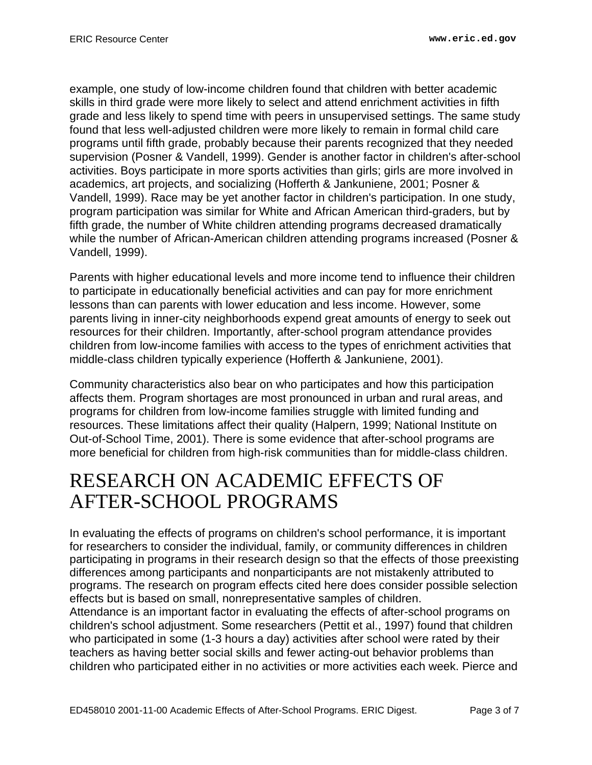example, one study of low-income children found that children with better academic skills in third grade were more likely to select and attend enrichment activities in fifth grade and less likely to spend time with peers in unsupervised settings. The same study found that less well-adjusted children were more likely to remain in formal child care programs until fifth grade, probably because their parents recognized that they needed supervision (Posner & Vandell, 1999). Gender is another factor in children's after-school activities. Boys participate in more sports activities than girls; girls are more involved in academics, art projects, and socializing (Hofferth & Jankuniene, 2001; Posner & Vandell, 1999). Race may be yet another factor in children's participation. In one study, program participation was similar for White and African American third-graders, but by fifth grade, the number of White children attending programs decreased dramatically while the number of African-American children attending programs increased (Posner & Vandell, 1999).

Parents with higher educational levels and more income tend to influence their children to participate in educationally beneficial activities and can pay for more enrichment lessons than can parents with lower education and less income. However, some parents living in inner-city neighborhoods expend great amounts of energy to seek out resources for their children. Importantly, after-school program attendance provides children from low-income families with access to the types of enrichment activities that middle-class children typically experience (Hofferth & Jankuniene, 2001).

Community characteristics also bear on who participates and how this participation affects them. Program shortages are most pronounced in urban and rural areas, and programs for children from low-income families struggle with limited funding and resources. These limitations affect their quality (Halpern, 1999; National Institute on Out-of-School Time, 2001). There is some evidence that after-school programs are more beneficial for children from high-risk communities than for middle-class children.

#### <span id="page-2-0"></span>RESEARCH ON ACADEMIC EFFECTS OF AFTER-SCHOOL PROGRAMS

In evaluating the effects of programs on children's school performance, it is important for researchers to consider the individual, family, or community differences in children participating in programs in their research design so that the effects of those preexisting differences among participants and nonparticipants are not mistakenly attributed to programs. The research on program effects cited here does consider possible selection effects but is based on small, nonrepresentative samples of children.

Attendance is an important factor in evaluating the effects of after-school programs on children's school adjustment. Some researchers (Pettit et al., 1997) found that children who participated in some (1-3 hours a day) activities after school were rated by their teachers as having better social skills and fewer acting-out behavior problems than children who participated either in no activities or more activities each week. Pierce and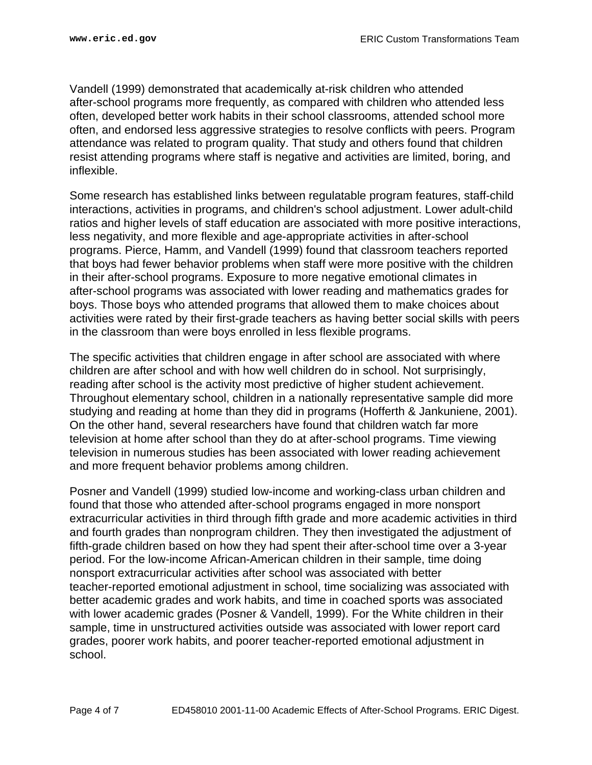Vandell (1999) demonstrated that academically at-risk children who attended after-school programs more frequently, as compared with children who attended less often, developed better work habits in their school classrooms, attended school more often, and endorsed less aggressive strategies to resolve conflicts with peers. Program attendance was related to program quality. That study and others found that children resist attending programs where staff is negative and activities are limited, boring, and inflexible.

Some research has established links between regulatable program features, staff-child interactions, activities in programs, and children's school adjustment. Lower adult-child ratios and higher levels of staff education are associated with more positive interactions, less negativity, and more flexible and age-appropriate activities in after-school programs. Pierce, Hamm, and Vandell (1999) found that classroom teachers reported that boys had fewer behavior problems when staff were more positive with the children in their after-school programs. Exposure to more negative emotional climates in after-school programs was associated with lower reading and mathematics grades for boys. Those boys who attended programs that allowed them to make choices about activities were rated by their first-grade teachers as having better social skills with peers in the classroom than were boys enrolled in less flexible programs.

The specific activities that children engage in after school are associated with where children are after school and with how well children do in school. Not surprisingly, reading after school is the activity most predictive of higher student achievement. Throughout elementary school, children in a nationally representative sample did more studying and reading at home than they did in programs (Hofferth & Jankuniene, 2001). On the other hand, several researchers have found that children watch far more television at home after school than they do at after-school programs. Time viewing television in numerous studies has been associated with lower reading achievement and more frequent behavior problems among children.

Posner and Vandell (1999) studied low-income and working-class urban children and found that those who attended after-school programs engaged in more nonsport extracurricular activities in third through fifth grade and more academic activities in third and fourth grades than nonprogram children. They then investigated the adjustment of fifth-grade children based on how they had spent their after-school time over a 3-year period. For the low-income African-American children in their sample, time doing nonsport extracurricular activities after school was associated with better teacher-reported emotional adjustment in school, time socializing was associated with better academic grades and work habits, and time in coached sports was associated with lower academic grades (Posner & Vandell, 1999). For the White children in their sample, time in unstructured activities outside was associated with lower report card grades, poorer work habits, and poorer teacher-reported emotional adjustment in school.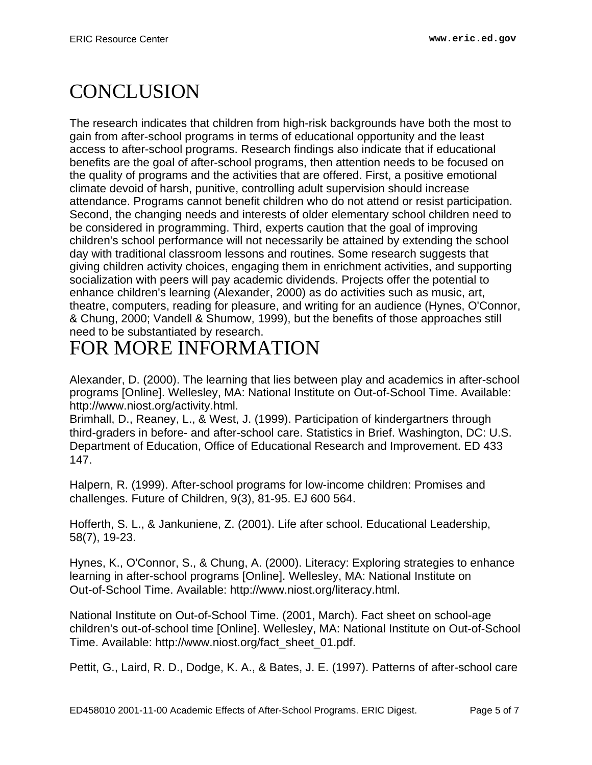### <span id="page-4-0"></span>**CONCLUSION**

The research indicates that children from high-risk backgrounds have both the most to gain from after-school programs in terms of educational opportunity and the least access to after-school programs. Research findings also indicate that if educational benefits are the goal of after-school programs, then attention needs to be focused on the quality of programs and the activities that are offered. First, a positive emotional climate devoid of harsh, punitive, controlling adult supervision should increase attendance. Programs cannot benefit children who do not attend or resist participation. Second, the changing needs and interests of older elementary school children need to be considered in programming. Third, experts caution that the goal of improving children's school performance will not necessarily be attained by extending the school day with traditional classroom lessons and routines. Some research suggests that giving children activity choices, engaging them in enrichment activities, and supporting socialization with peers will pay academic dividends. Projects offer the potential to enhance children's learning (Alexander, 2000) as do activities such as music, art, theatre, computers, reading for pleasure, and writing for an audience (Hynes, O'Connor, & Chung, 2000; Vandell & Shumow, 1999), but the benefits of those approaches still need to be substantiated by research.

### <span id="page-4-1"></span>FOR MORE INFORMATION

Alexander, D. (2000). The learning that lies between play and academics in after-school programs [Online]. Wellesley, MA: National Institute on Out-of-School Time. Available: http://www.niost.org/activity.html.

Brimhall, D., Reaney, L., & West, J. (1999). Participation of kindergartners through third-graders in before- and after-school care. Statistics in Brief. Washington, DC: U.S. Department of Education, Office of Educational Research and Improvement. ED 433 147.

Halpern, R. (1999). After-school programs for low-income children: Promises and challenges. Future of Children, 9(3), 81-95. EJ 600 564.

Hofferth, S. L., & Jankuniene, Z. (2001). Life after school. Educational Leadership, 58(7), 19-23.

Hynes, K., O'Connor, S., & Chung, A. (2000). Literacy: Exploring strategies to enhance learning in after-school programs [Online]. Wellesley, MA: National Institute on Out-of-School Time. Available: http://www.niost.org/literacy.html.

National Institute on Out-of-School Time. (2001, March). Fact sheet on school-age children's out-of-school time [Online]. Wellesley, MA: National Institute on Out-of-School Time. Available: http://www.niost.org/fact\_sheet\_01.pdf.

Pettit, G., Laird, R. D., Dodge, K. A., & Bates, J. E. (1997). Patterns of after-school care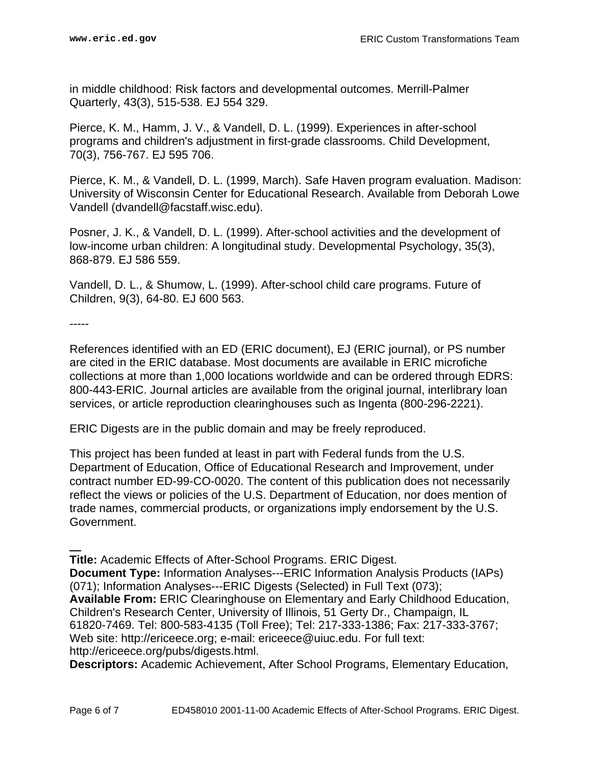in middle childhood: Risk factors and developmental outcomes. Merrill-Palmer Quarterly, 43(3), 515-538. EJ 554 329.

Pierce, K. M., Hamm, J. V., & Vandell, D. L. (1999). Experiences in after-school programs and children's adjustment in first-grade classrooms. Child Development, 70(3), 756-767. EJ 595 706.

Pierce, K. M., & Vandell, D. L. (1999, March). Safe Haven program evaluation. Madison: University of Wisconsin Center for Educational Research. Available from Deborah Lowe Vandell (dvandell@facstaff.wisc.edu).

Posner, J. K., & Vandell, D. L. (1999). After-school activities and the development of low-income urban children: A longitudinal study. Developmental Psychology, 35(3), 868-879. EJ 586 559.

Vandell, D. L., & Shumow, L. (1999). After-school child care programs. Future of Children, 9(3), 64-80. EJ 600 563.

-----

References identified with an ED (ERIC document), EJ (ERIC journal), or PS number are cited in the ERIC database. Most documents are available in ERIC microfiche collections at more than 1,000 locations worldwide and can be ordered through EDRS: 800-443-ERIC. Journal articles are available from the original journal, interlibrary loan services, or article reproduction clearinghouses such as Ingenta (800-296-2221).

ERIC Digests are in the public domain and may be freely reproduced.

This project has been funded at least in part with Federal funds from the U.S. Department of Education, Office of Educational Research and Improvement, under contract number ED-99-CO-0020. The content of this publication does not necessarily reflect the views or policies of the U.S. Department of Education, nor does mention of trade names, commercial products, or organizations imply endorsement by the U.S. Government.

**Title:** Academic Effects of After-School Programs. ERIC Digest. **Document Type:** Information Analyses---ERIC Information Analysis Products (IAPs) (071); Information Analyses---ERIC Digests (Selected) in Full Text (073); **Available From:** ERIC Clearinghouse on Elementary and Early Childhood Education, Children's Research Center, University of Illinois, 51 Gerty Dr., Champaign, IL 61820-7469. Tel: 800-583-4135 (Toll Free); Tel: 217-333-1386; Fax: 217-333-3767; Web site: http://ericeece.org; e-mail: ericeece@uiuc.edu. For full text: http://ericeece.org/pubs/digests.html.

**Descriptors:** Academic Achievement, After School Programs, Elementary Education,